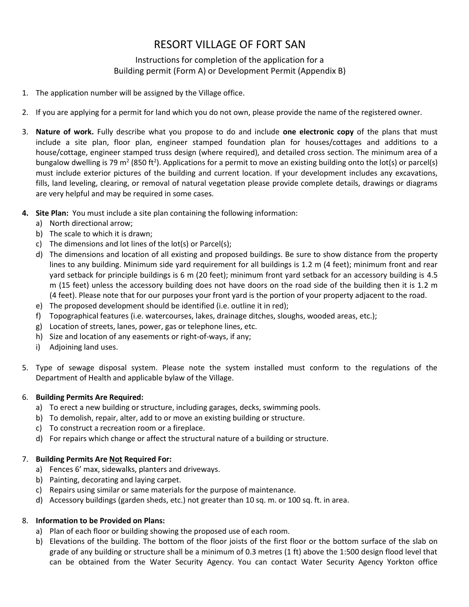# RESORT VILLAGE OF FORT SAN

# Instructions for completion of the application for a Building permit (Form A) or Development Permit (Appendix B)

- 1. The application number will be assigned by the Village office.
- 2. If you are applying for a permit for land which you do not own, please provide the name of the registered owner.
- 3. **Nature of work.** Fully describe what you propose to do and include **one electronic copy** of the plans that must include a site plan, floor plan, engineer stamped foundation plan for houses/cottages and additions to a house/cottage, engineer stamped truss design (where required), and detailed cross section. The minimum area of a bungalow dwelling is 79 m<sup>2</sup> (850 ft<sup>2</sup>). Applications for a permit to move an existing building onto the lot(s) or parcel(s) must include exterior pictures of the building and current location. If your development includes any excavations, fills, land leveling, clearing, or removal of natural vegetation please provide complete details, drawings or diagrams are very helpful and may be required in some cases.
- **4. Site Plan:** You must include a site plan containing the following information:
	- a) North directional arrow;
	- b) The scale to which it is drawn;
	- c) The dimensions and lot lines of the lot(s) or Parcel(s);
	- d) The dimensions and location of all existing and proposed buildings. Be sure to show distance from the property lines to any building. Minimum side yard requirement for all buildings is 1.2 m (4 feet); minimum front and rear yard setback for principle buildings is 6 m (20 feet); minimum front yard setback for an accessory building is 4.5 m (15 feet) unless the accessory building does not have doors on the road side of the building then it is 1.2 m (4 feet). Please note that for our purposes your front yard is the portion of your property adjacent to the road.
	- e) The proposed development should be identified (i.e. outline it in red);
	- f) Topographical features (i.e. watercourses, lakes, drainage ditches, sloughs, wooded areas, etc.);
	- g) Location of streets, lanes, power, gas or telephone lines, etc.
	- h) Size and location of any easements or right-of-ways, if any;
	- i) Adjoining land uses.
- 5. Type of sewage disposal system. Please note the system installed must conform to the regulations of the Department of Health and applicable bylaw of the Village.

#### 6. **Building Permits Are Required:**

- a) To erect a new building or structure, including garages, decks, swimming pools.
- b) To demolish, repair, alter, add to or move an existing building or structure.
- c) To construct a recreation room or a fireplace.
- d) For repairs which change or affect the structural nature of a building or structure.

## 7. **Building Permits Are Not Required For:**

- a) Fences 6' max, sidewalks, planters and driveways.
- b) Painting, decorating and laying carpet.
- c) Repairs using similar or same materials for the purpose of maintenance.
- d) Accessory buildings (garden sheds, etc.) not greater than 10 sq. m. or 100 sq. ft. in area.

## 8. **Information to be Provided on Plans:**

- a) Plan of each floor or building showing the proposed use of each room.
- b) Elevations of the building. The bottom of the floor joists of the first floor or the bottom surface of the slab on grade of any building or structure shall be a minimum of 0.3 metres (1 ft) above the 1:500 design flood level that can be obtained from the Water Security Agency. You can contact Water Security Agency Yorkton office